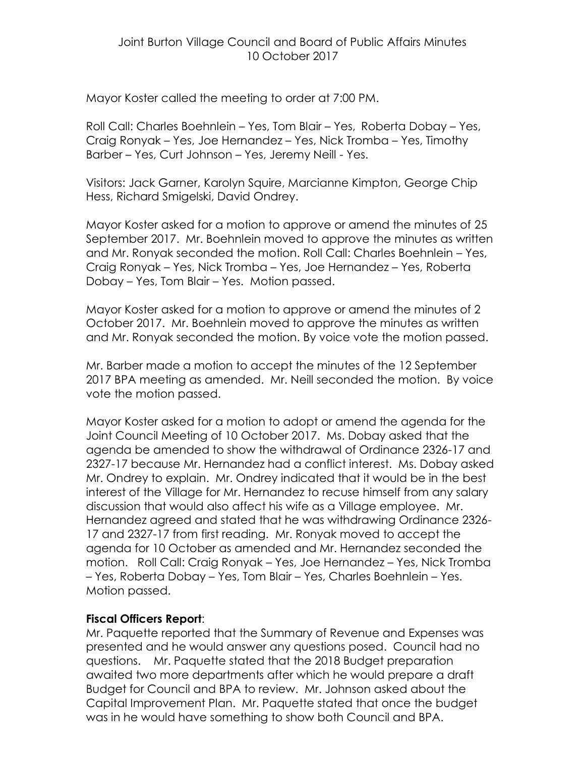Mayor Koster called the meeting to order at 7:00 PM.

Roll Call: Charles Boehnlein – Yes, Tom Blair – Yes, Roberta Dobay – Yes, Craig Ronyak – Yes, Joe Hernandez – Yes, Nick Tromba – Yes, Timothy Barber – Yes, Curt Johnson – Yes, Jeremy Neill - Yes.

Visitors: Jack Garner, Karolyn Squire, Marcianne Kimpton, George Chip Hess, Richard Smigelski, David Ondrey.

Mayor Koster asked for a motion to approve or amend the minutes of 25 September 2017. Mr. Boehnlein moved to approve the minutes as written and Mr. Ronyak seconded the motion. Roll Call: Charles Boehnlein – Yes, Craig Ronyak – Yes, Nick Tromba – Yes, Joe Hernandez – Yes, Roberta Dobay – Yes, Tom Blair – Yes. Motion passed.

Mayor Koster asked for a motion to approve or amend the minutes of 2 October 2017. Mr. Boehnlein moved to approve the minutes as written and Mr. Ronyak seconded the motion. By voice vote the motion passed.

Mr. Barber made a motion to accept the minutes of the 12 September 2017 BPA meeting as amended. Mr. Neill seconded the motion. By voice vote the motion passed.

Mayor Koster asked for a motion to adopt or amend the agenda for the Joint Council Meeting of 10 October 2017. Ms. Dobay asked that the agenda be amended to show the withdrawal of Ordinance 2326-17 and 2327-17 because Mr. Hernandez had a conflict interest. Ms. Dobay asked Mr. Ondrey to explain. Mr. Ondrey indicated that it would be in the best interest of the Village for Mr. Hernandez to recuse himself from any salary discussion that would also affect his wife as a Village employee. Mr. Hernandez agreed and stated that he was withdrawing Ordinance 2326- 17 and 2327-17 from first reading. Mr. Ronyak moved to accept the agenda for 10 October as amended and Mr. Hernandez seconded the motion. Roll Call: Craig Ronyak – Yes, Joe Hernandez – Yes, Nick Tromba – Yes, Roberta Dobay – Yes, Tom Blair – Yes, Charles Boehnlein – Yes. Motion passed.

# **Fiscal Officers Report**:

Mr. Paquette reported that the Summary of Revenue and Expenses was presented and he would answer any questions posed. Council had no questions. Mr. Paquette stated that the 2018 Budget preparation awaited two more departments after which he would prepare a draft Budget for Council and BPA to review. Mr. Johnson asked about the Capital Improvement Plan. Mr. Paquette stated that once the budget was in he would have something to show both Council and BPA.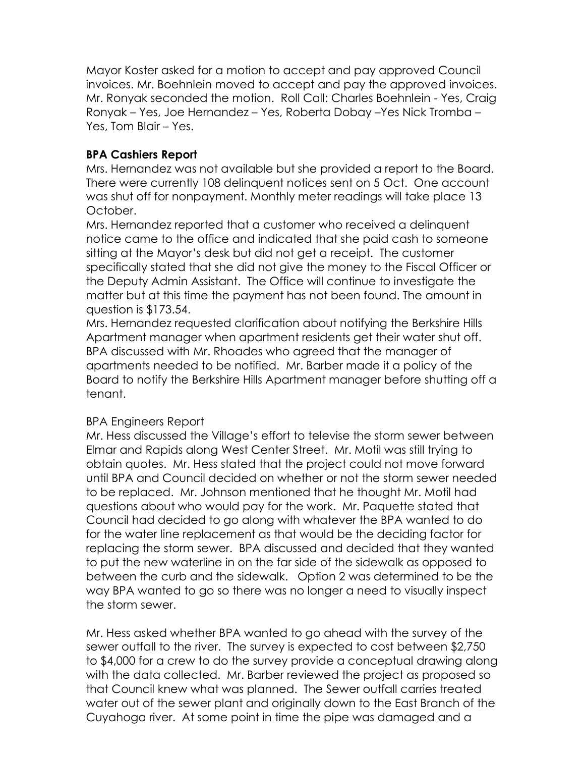Mayor Koster asked for a motion to accept and pay approved Council invoices. Mr. Boehnlein moved to accept and pay the approved invoices. Mr. Ronyak seconded the motion. Roll Call: Charles Boehnlein - Yes, Craig Ronyak – Yes, Joe Hernandez – Yes, Roberta Dobay –Yes Nick Tromba – Yes, Tom Blair – Yes.

# **BPA Cashiers Report**

Mrs. Hernandez was not available but she provided a report to the Board. There were currently 108 delinquent notices sent on 5 Oct. One account was shut off for nonpayment. Monthly meter readings will take place 13 October.

Mrs. Hernandez reported that a customer who received a delinquent notice came to the office and indicated that she paid cash to someone sitting at the Mayor's desk but did not get a receipt. The customer specifically stated that she did not give the money to the Fiscal Officer or the Deputy Admin Assistant. The Office will continue to investigate the matter but at this time the payment has not been found. The amount in question is \$173.54.

Mrs. Hernandez requested clarification about notifying the Berkshire Hills Apartment manager when apartment residents get their water shut off. BPA discussed with Mr. Rhoades who agreed that the manager of apartments needed to be notified. Mr. Barber made it a policy of the Board to notify the Berkshire Hills Apartment manager before shutting off a tenant.

# BPA Engineers Report

Mr. Hess discussed the Village's effort to televise the storm sewer between Elmar and Rapids along West Center Street. Mr. Motil was still trying to obtain quotes. Mr. Hess stated that the project could not move forward until BPA and Council decided on whether or not the storm sewer needed to be replaced. Mr. Johnson mentioned that he thought Mr. Motil had questions about who would pay for the work. Mr. Paquette stated that Council had decided to go along with whatever the BPA wanted to do for the water line replacement as that would be the deciding factor for replacing the storm sewer. BPA discussed and decided that they wanted to put the new waterline in on the far side of the sidewalk as opposed to between the curb and the sidewalk. Option 2 was determined to be the way BPA wanted to go so there was no longer a need to visually inspect the storm sewer.

Mr. Hess asked whether BPA wanted to go ahead with the survey of the sewer outfall to the river. The survey is expected to cost between \$2,750 to \$4,000 for a crew to do the survey provide a conceptual drawing along with the data collected. Mr. Barber reviewed the project as proposed so that Council knew what was planned. The Sewer outfall carries treated water out of the sewer plant and originally down to the East Branch of the Cuyahoga river. At some point in time the pipe was damaged and a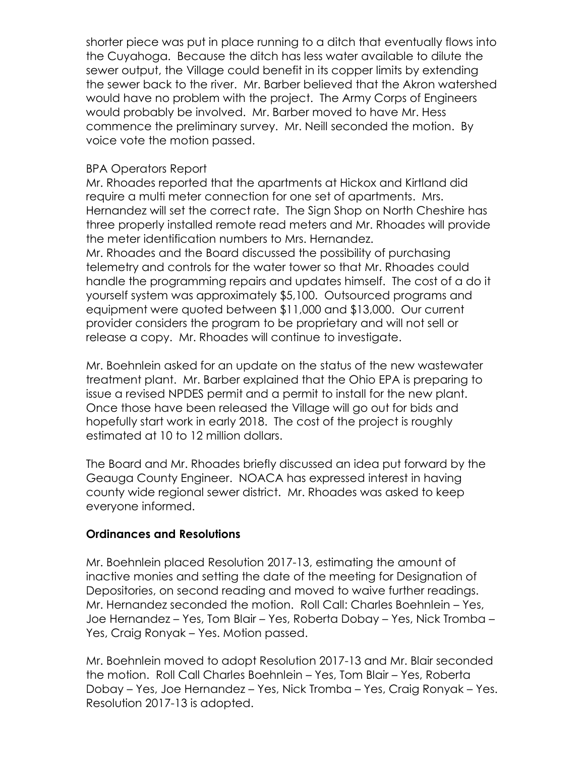shorter piece was put in place running to a ditch that eventually flows into the Cuyahoga. Because the ditch has less water available to dilute the sewer output, the Village could benefit in its copper limits by extending the sewer back to the river. Mr. Barber believed that the Akron watershed would have no problem with the project. The Army Corps of Engineers would probably be involved. Mr. Barber moved to have Mr. Hess commence the preliminary survey. Mr. Neill seconded the motion. By voice vote the motion passed.

## BPA Operators Report

Mr. Rhoades reported that the apartments at Hickox and Kirtland did require a multi meter connection for one set of apartments. Mrs. Hernandez will set the correct rate. The Sign Shop on North Cheshire has three properly installed remote read meters and Mr. Rhoades will provide the meter identification numbers to Mrs. Hernandez.

Mr. Rhoades and the Board discussed the possibility of purchasing telemetry and controls for the water tower so that Mr. Rhoades could handle the programming repairs and updates himself. The cost of a do it yourself system was approximately \$5,100. Outsourced programs and equipment were quoted between \$11,000 and \$13,000. Our current provider considers the program to be proprietary and will not sell or release a copy. Mr. Rhoades will continue to investigate.

Mr. Boehnlein asked for an update on the status of the new wastewater treatment plant. Mr. Barber explained that the Ohio EPA is preparing to issue a revised NPDES permit and a permit to install for the new plant. Once those have been released the Village will go out for bids and hopefully start work in early 2018. The cost of the project is roughly estimated at 10 to 12 million dollars.

The Board and Mr. Rhoades briefly discussed an idea put forward by the Geauga County Engineer. NOACA has expressed interest in having county wide regional sewer district. Mr. Rhoades was asked to keep everyone informed.

## **Ordinances and Resolutions**

Mr. Boehnlein placed Resolution 2017-13, estimating the amount of inactive monies and setting the date of the meeting for Designation of Depositories, on second reading and moved to waive further readings. Mr. Hernandez seconded the motion. Roll Call: Charles Boehnlein – Yes, Joe Hernandez – Yes, Tom Blair – Yes, Roberta Dobay – Yes, Nick Tromba – Yes, Craig Ronyak – Yes. Motion passed.

Mr. Boehnlein moved to adopt Resolution 2017-13 and Mr. Blair seconded the motion. Roll Call Charles Boehnlein – Yes, Tom Blair – Yes, Roberta Dobay – Yes, Joe Hernandez – Yes, Nick Tromba – Yes, Craig Ronyak – Yes. Resolution 2017-13 is adopted.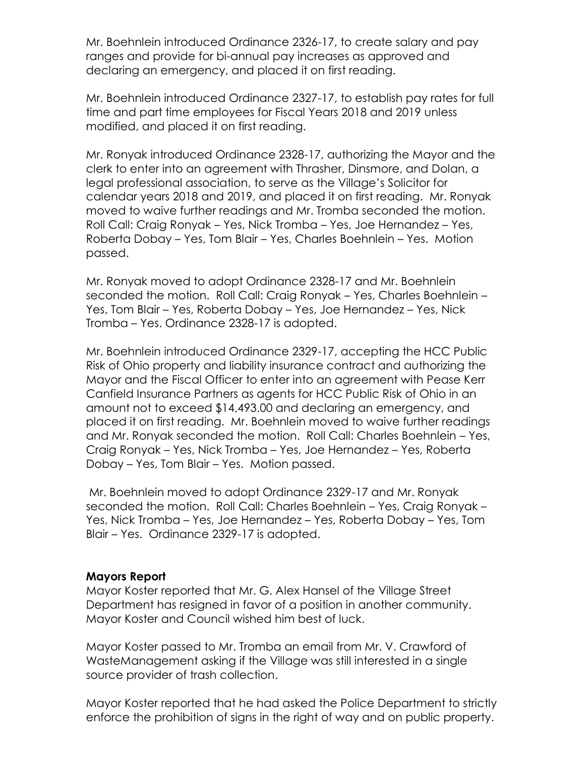Mr. Boehnlein introduced Ordinance 2326-17, to create salary and pay ranges and provide for bi-annual pay increases as approved and declaring an emergency, and placed it on first reading.

Mr. Boehnlein introduced Ordinance 2327-17, to establish pay rates for full time and part time employees for Fiscal Years 2018 and 2019 unless modified, and placed it on first reading.

Mr. Ronyak introduced Ordinance 2328-17, authorizing the Mayor and the clerk to enter into an agreement with Thrasher, Dinsmore, and Dolan, a legal professional association, to serve as the Village's Solicitor for calendar years 2018 and 2019, and placed it on first reading. Mr. Ronyak moved to waive further readings and Mr. Tromba seconded the motion. Roll Call: Craig Ronyak – Yes, Nick Tromba – Yes, Joe Hernandez – Yes, Roberta Dobay – Yes, Tom Blair – Yes, Charles Boehnlein – Yes. Motion passed.

Mr. Ronyak moved to adopt Ordinance 2328-17 and Mr. Boehnlein seconded the motion. Roll Call: Craig Ronyak – Yes, Charles Boehnlein – Yes, Tom Blair – Yes, Roberta Dobay – Yes, Joe Hernandez – Yes, Nick Tromba – Yes. Ordinance 2328-17 is adopted.

Mr. Boehnlein introduced Ordinance 2329-17, accepting the HCC Public Risk of Ohio property and liability insurance contract and authorizing the Mayor and the Fiscal Officer to enter into an agreement with Pease Kerr Canfield Insurance Partners as agents for HCC Public Risk of Ohio in an amount not to exceed \$14,493.00 and declaring an emergency, and placed it on first reading. Mr. Boehnlein moved to waive further readings and Mr. Ronyak seconded the motion. Roll Call: Charles Boehnlein – Yes, Craig Ronyak – Yes, Nick Tromba – Yes, Joe Hernandez – Yes, Roberta Dobay – Yes, Tom Blair – Yes. Motion passed.

Mr. Boehnlein moved to adopt Ordinance 2329-17 and Mr. Ronyak seconded the motion. Roll Call: Charles Boehnlein – Yes, Craig Ronyak – Yes, Nick Tromba – Yes, Joe Hernandez – Yes, Roberta Dobay – Yes, Tom Blair – Yes. Ordinance 2329-17 is adopted.

#### **Mayors Report**

Mayor Koster reported that Mr. G. Alex Hansel of the Village Street Department has resigned in favor of a position in another community. Mayor Koster and Council wished him best of luck.

Mayor Koster passed to Mr. Tromba an email from Mr. V. Crawford of WasteManagement asking if the Village was still interested in a single source provider of trash collection.

Mayor Koster reported that he had asked the Police Department to strictly enforce the prohibition of signs in the right of way and on public property.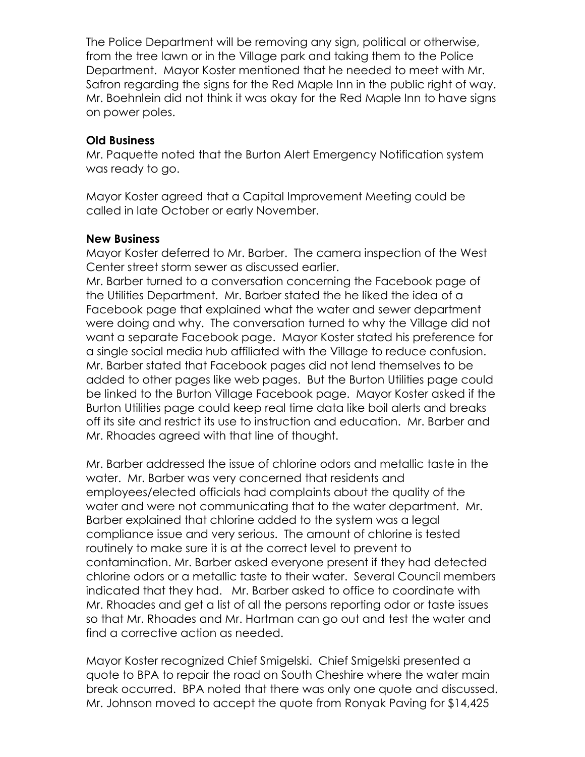The Police Department will be removing any sign, political or otherwise, from the tree lawn or in the Village park and taking them to the Police Department. Mayor Koster mentioned that he needed to meet with Mr. Safron regarding the signs for the Red Maple Inn in the public right of way. Mr. Boehnlein did not think it was okay for the Red Maple Inn to have signs on power poles.

## **Old Business**

Mr. Paquette noted that the Burton Alert Emergency Notification system was ready to go.

Mayor Koster agreed that a Capital Improvement Meeting could be called in late October or early November.

#### **New Business**

Mayor Koster deferred to Mr. Barber. The camera inspection of the West Center street storm sewer as discussed earlier.

Mr. Barber turned to a conversation concerning the Facebook page of the Utilities Department. Mr. Barber stated the he liked the idea of a Facebook page that explained what the water and sewer department were doing and why. The conversation turned to why the Village did not want a separate Facebook page. Mayor Koster stated his preference for a single social media hub affiliated with the Village to reduce confusion. Mr. Barber stated that Facebook pages did not lend themselves to be added to other pages like web pages. But the Burton Utilities page could be linked to the Burton Village Facebook page. Mayor Koster asked if the Burton Utilities page could keep real time data like boil alerts and breaks off its site and restrict its use to instruction and education. Mr. Barber and Mr. Rhoades agreed with that line of thought.

Mr. Barber addressed the issue of chlorine odors and metallic taste in the water. Mr. Barber was very concerned that residents and employees/elected officials had complaints about the quality of the water and were not communicating that to the water department. Mr. Barber explained that chlorine added to the system was a legal compliance issue and very serious. The amount of chlorine is tested routinely to make sure it is at the correct level to prevent to contamination. Mr. Barber asked everyone present if they had detected chlorine odors or a metallic taste to their water. Several Council members indicated that they had. Mr. Barber asked to office to coordinate with Mr. Rhoades and get a list of all the persons reporting odor or taste issues so that Mr. Rhoades and Mr. Hartman can go out and test the water and find a corrective action as needed.

Mayor Koster recognized Chief Smigelski. Chief Smigelski presented a quote to BPA to repair the road on South Cheshire where the water main break occurred. BPA noted that there was only one quote and discussed. Mr. Johnson moved to accept the quote from Ronyak Paving for \$14,425